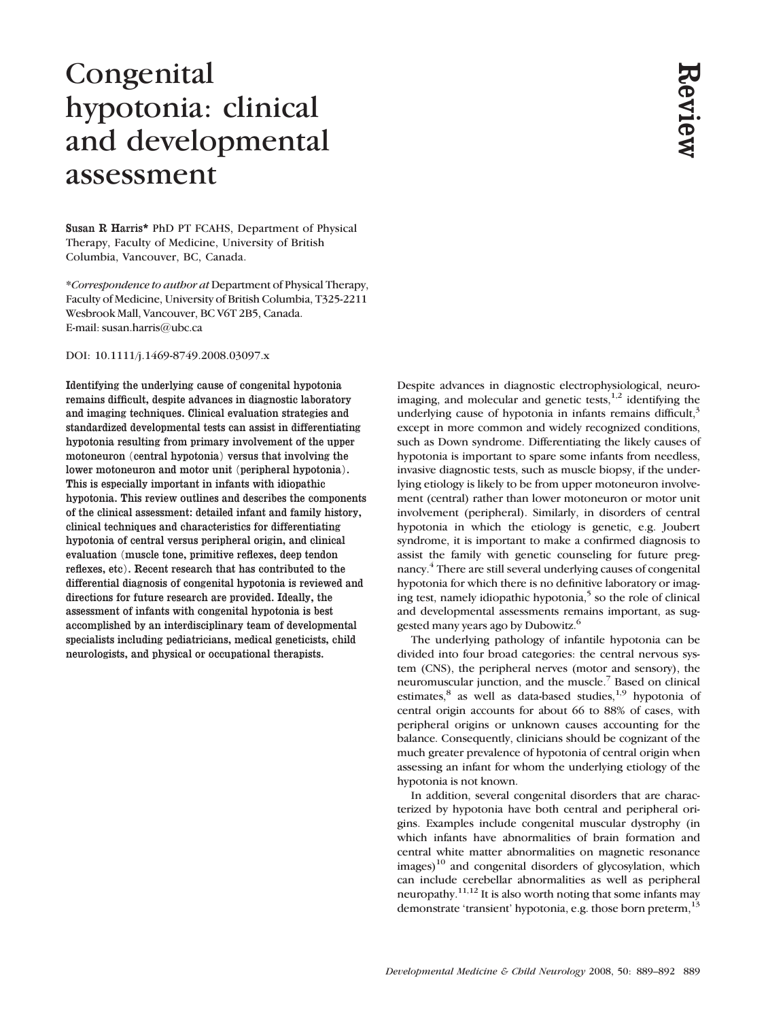# Congenital hypotonia: clinical and developmental assessment

Susan R Harris\* PhD PT FCAHS, Department of Physical Therapy, Faculty of Medicine, University of British Columbia, Vancouver, BC, Canada.

\*Correspondence to author at Department of Physical Therapy, Faculty of Medicine, University of British Columbia, T325-2211 Wesbrook Mall, Vancouver, BC V6T 2B5, Canada. E-mail: susan.harris@ubc.ca

DOI: 10.1111/j.1469-8749.2008.03097.x

Identifying the underlying cause of congenital hypotonia remains difficult, despite advances in diagnostic laboratory and imaging techniques. Clinical evaluation strategies and standardized developmental tests can assist in differentiating hypotonia resulting from primary involvement of the upper motoneuron (central hypotonia) versus that involving the lower motoneuron and motor unit (peripheral hypotonia). This is especially important in infants with idiopathic hypotonia. This review outlines and describes the components of the clinical assessment: detailed infant and family history, clinical techniques and characteristics for differentiating hypotonia of central versus peripheral origin, and clinical evaluation (muscle tone, primitive reflexes, deep tendon reflexes, etc). Recent research that has contributed to the differential diagnosis of congenital hypotonia is reviewed and directions for future research are provided. Ideally, the assessment of infants with congenital hypotonia is best accomplished by an interdisciplinary team of developmental specialists including pediatricians, medical geneticists, child neurologists, and physical or occupational therapists.

Despite advances in diagnostic electrophysiological, neuroimaging, and molecular and genetic tests, $1,2$  identifying the underlying cause of hypotonia in infants remains difficult, $3$ except in more common and widely recognized conditions, such as Down syndrome. Differentiating the likely causes of hypotonia is important to spare some infants from needless, invasive diagnostic tests, such as muscle biopsy, if the underlying etiology is likely to be from upper motoneuron involvement (central) rather than lower motoneuron or motor unit involvement (peripheral). Similarly, in disorders of central hypotonia in which the etiology is genetic, e.g. Joubert syndrome, it is important to make a confirmed diagnosis to assist the family with genetic counseling for future pregnancy.4 There are still several underlying causes of congenital hypotonia for which there is no definitive laboratory or imaging test, namely idiopathic hypotonia,<sup>5</sup> so the role of clinical and developmental assessments remains important, as suggested many years ago by Dubowitz.<sup>6</sup> Depoire advances in diagnostic electrophysiological, neuro-<br>imaging, and noticelar and garentic tests<sup>1,3</sup> identifying the mondom and widely reconstrate can an except in more common and widely reconstrated conditions,<br>suc

The underlying pathology of infantile hypotonia can be divided into four broad categories: the central nervous system (CNS), the peripheral nerves (motor and sensory), the neuromuscular junction, and the muscle.7 Based on clinical estimates, $8$  as well as data-based studies, $1.9$  hypotonia of central origin accounts for about 66 to 88% of cases, with peripheral origins or unknown causes accounting for the balance. Consequently, clinicians should be cognizant of the much greater prevalence of hypotonia of central origin when assessing an infant for whom the underlying etiology of the hypotonia is not known.

In addition, several congenital disorders that are characterized by hypotonia have both central and peripheral origins. Examples include congenital muscular dystrophy (in which infants have abnormalities of brain formation and central white matter abnormalities on magnetic resonance images)<sup>10</sup> and congenital disorders of glycosylation, which can include cerebellar abnormalities as well as peripheral neuropathy.<sup>11,12</sup> It is also worth noting that some infants may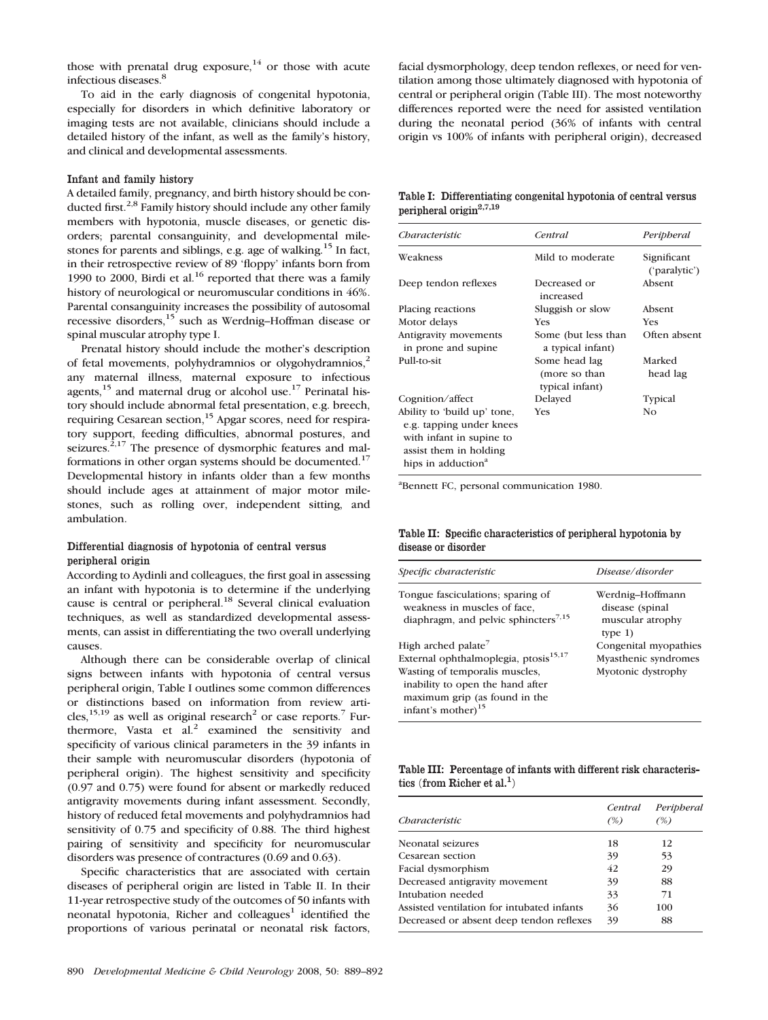those with prenatal drug exposure.<sup>14</sup> or those with acute infectious diseases.8

To aid in the early diagnosis of congenital hypotonia, especially for disorders in which definitive laboratory or imaging tests are not available, clinicians should include a detailed history of the infant, as well as the family's history, and clinical and developmental assessments.

# Infant and family history

A detailed family, pregnancy, and birth history should be conducted first.<sup>2,8</sup> Family history should include any other family members with hypotonia, muscle diseases, or genetic disorders; parental consanguinity, and developmental milestones for parents and siblings, e.g. age of walking.<sup>15</sup> In fact, in their retrospective review of 89 'floppy' infants born from 1990 to 2000, Birdi et al. $16$  reported that there was a family history of neurological or neuromuscular conditions in 46%. Parental consanguinity increases the possibility of autosomal recessive disorders,15 such as Werdnig–Hoffman disease or spinal muscular atrophy type I.

Prenatal history should include the mother's description of fetal movements, polyhydramnios or olygohydramnios,<sup>2</sup> any maternal illness, maternal exposure to infectious agents,  $15$  and maternal drug or alcohol use.<sup>17</sup> Perinatal history should include abnormal fetal presentation, e.g. breech, requiring Cesarean section,<sup>15</sup> Apgar scores, need for respiratory support, feeding difficulties, abnormal postures, and seizures.<sup>2,17</sup> The presence of dysmorphic features and malformations in other organ systems should be documented.<sup>17</sup> Developmental history in infants older than a few months should include ages at attainment of major motor milestones, such as rolling over, independent sitting, and ambulation.

# Differential diagnosis of hypotonia of central versus peripheral origin

According to Aydinli and colleagues, the first goal in assessing an infant with hypotonia is to determine if the underlying cause is central or peripheral.<sup>18</sup> Several clinical evaluation techniques, as well as standardized developmental assessments, can assist in differentiating the two overall underlying causes.

Although there can be considerable overlap of clinical signs between infants with hypotonia of central versus peripheral origin, Table I outlines some common differences or distinctions based on information from review articles,<sup>15,19</sup> as well as original research<sup>2</sup> or case reports.<sup>7</sup> Furthermore, Vasta et al.<sup>2</sup> examined the sensitivity and specificity of various clinical parameters in the 39 infants in their sample with neuromuscular disorders (hypotonia of peripheral origin). The highest sensitivity and specificity (0.97 and 0.75) were found for absent or markedly reduced antigravity movements during infant assessment. Secondly, history of reduced fetal movements and polyhydramnios had sensitivity of 0.75 and specificity of 0.88. The third highest pairing of sensitivity and specificity for neuromuscular disorders was presence of contractures (0.69 and 0.63).

Specific characteristics that are associated with certain diseases of peripheral origin are listed in Table II. In their 11-year retrospective study of the outcomes of 50 infants with neonatal hypotonia, Richer and colleagues<sup>1</sup> identified the proportions of various perinatal or neonatal risk factors,

facial dysmorphology, deep tendon reflexes, or need for ventilation among those ultimately diagnosed with hypotonia of central or peripheral origin (Table III). The most noteworthy differences reported were the need for assisted ventilation during the neonatal period (36% of infants with central origin vs 100% of infants with peripheral origin), decreased

Table I: Differentiating congenital hypotonia of central versus peripheral origin<sup>2,7,19</sup>

| Characteristic                                                                                                                                  | Central                                           | Peripheral                   |
|-------------------------------------------------------------------------------------------------------------------------------------------------|---------------------------------------------------|------------------------------|
| Weakness                                                                                                                                        | Mild to moderate                                  | Significant<br>('paralytic') |
| Deep tendon reflexes                                                                                                                            | Decreased or<br>increased                         | Absent                       |
| Placing reactions                                                                                                                               | Sluggish or slow                                  | Absent                       |
| Motor delays                                                                                                                                    | Yes                                               | <b>Yes</b>                   |
| Antigravity movements<br>in prone and supine.                                                                                                   | Some (but less than<br>a typical infant)          | Often absent                 |
| Pull-to-sit                                                                                                                                     | Some head lag<br>(more so than<br>typical infant) | Marked<br>head lag           |
| Cognition/affect                                                                                                                                | Delayed                                           | Typical                      |
| Ability to 'build up' tone,<br>e.g. tapping under knees<br>with infant in supine to<br>assist them in holding<br>hips in adduction <sup>a</sup> | Yes                                               | Nο                           |

a Bennett FC, personal communication 1980.

Table II: Specific characteristics of peripheral hypotonia by disease or disorder

| Specific characteristic                                                                                                                                                                                                       | Disease/disorder                                                      |  |
|-------------------------------------------------------------------------------------------------------------------------------------------------------------------------------------------------------------------------------|-----------------------------------------------------------------------|--|
| Tongue fasciculations; sparing of<br>weakness in muscles of face.<br>diaphragm, and pelvic sphincters <sup>7,15</sup>                                                                                                         | Werdnig-Hoffmann<br>disease (spinal<br>muscular atrophy<br>type $1$ ) |  |
| High arched palate <sup>7</sup><br>External ophthalmoplegia, prosis <sup>15,17</sup><br>Wasting of temporalis muscles,<br>inability to open the hand after<br>maximum grip (as found in the<br>infant's mother) <sup>15</sup> | Congenital myopathies<br>Myasthenic syndromes<br>Myotonic dystrophy   |  |

Table III: Percentage of infants with different risk characteristics (from Richer et al.<sup>1</sup>)

| Characteristic                             | Central<br>(%) | Peripheral<br>(%) |
|--------------------------------------------|----------------|-------------------|
| Neonatal seizures                          | 18             | 12                |
| Cesarean section                           | 39             | 53                |
| Facial dysmorphism                         | 42             | 29                |
| Decreased antigravity movement             | 39             | 88                |
| Intubation needed                          | 33             | 71                |
| Assisted ventilation for intubated infants | 36             | 100               |
| Decreased or absent deep tendon reflexes   | 39             | 88                |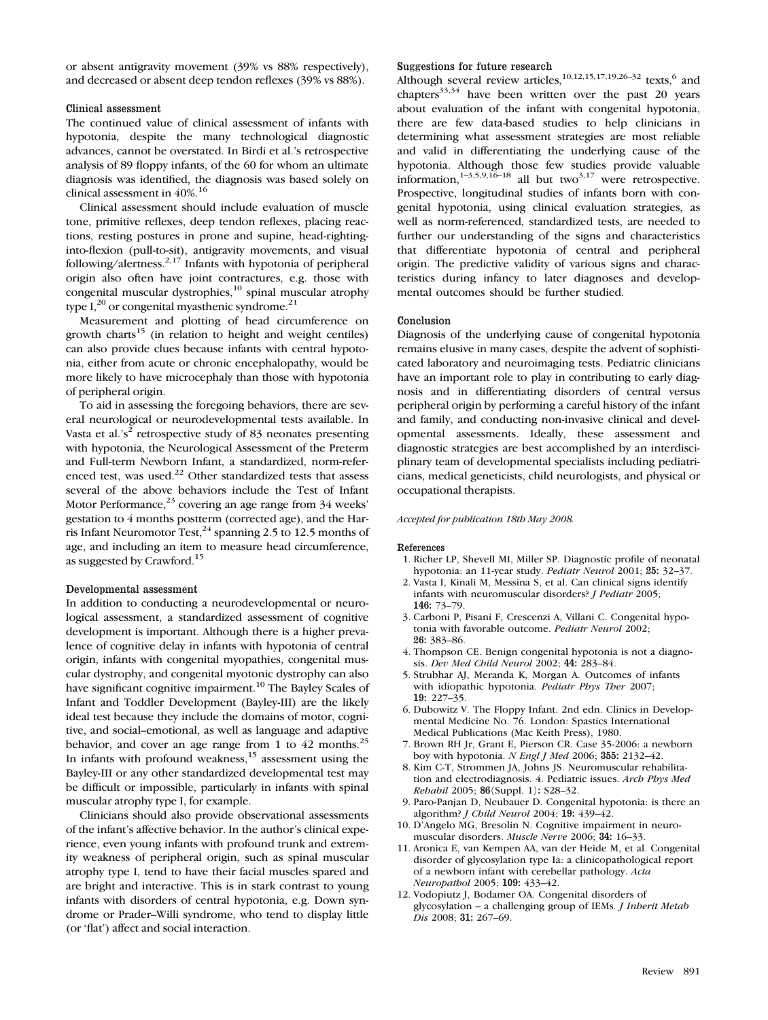or absent antigravity movement (39% vs 88% respectively), and decreased or absent deep tendon reflexes (39% vs 88%).

## Clinical assessment

The continued value of clinical assessment of infants with hypotonia, despite the many technological diagnostic advances, cannot be overstated. In Birdi et al.'s retrospective analysis of 89 floppy infants, of the 60 for whom an ultimate diagnosis was identified, the diagnosis was based solely on clinical assessment in  $40\%$ <sup>16</sup>

Clinical assessment should include evaluation of muscle tone, primitive reflexes, deep tendon reflexes, placing reactions, resting postures in prone and supine, head-rightinginto-flexion (pull-to-sit), antigravity movements, and visual following/alertness.<sup>2,17</sup> Infants with hypotonia of peripheral origin also often have joint contractures, e.g. those with congenital muscular dystrophies,<sup>10</sup> spinal muscular atrophy type  $I<sub>1</sub><sup>20</sup>$  or congenital myasthenic syndrome.<sup>21</sup>

Measurement and plotting of head circumference on growth charts<sup>15</sup> (in relation to height and weight centiles) can also provide clues because infants with central hypotonia, either from acute or chronic encephalopathy, would be more likely to have microcephaly than those with hypotonia of peripheral origin.

To aid in assessing the foregoing behaviors, there are several neurological or neurodevelopmental tests available. In Vasta et al.'s<sup>2</sup> retrospective study of 83 neonates presenting with hypotonia, the Neurological Assessment of the Preterm and Full-term Newborn Infant, a standardized, norm-referenced test, was used.<sup>22</sup> Other standardized tests that assess several of the above behaviors include the Test of Infant Motor Performance, $^{23}$  covering an age range from 34 weeks' gestation to 4 months postterm (corrected age), and the Harris Infant Neuromotor Test, $^{24}$  spanning 2.5 to 12.5 months of age, and including an item to measure head circumference, as suggested by Crawford.<sup>15</sup>

# Developmental assessment

In addition to conducting a neurodevelopmental or neurological assessment, a standardized assessment of cognitive development is important. Although there is a higher prevalence of cognitive delay in infants with hypotonia of central origin, infants with congenital myopathies, congenital muscular dystrophy, and congenital myotonic dystrophy can also have significant cognitive impairment.<sup>10</sup> The Bayley Scales of Infant and Toddler Development (Bayley-III) are the likely ideal test because they include the domains of motor, cognitive, and social–emotional, as well as language and adaptive behavior, and cover an age range from 1 to  $42$  months.<sup>25</sup> In infants with profound weakness,  $15$  assessment using the Bayley-III or any other standardized developmental test may be difficult or impossible, particularly in infants with spinal muscular atrophy type I, for example.

Clinicians should also provide observational assessments of the infant's affective behavior. In the author's clinical experience, even young infants with profound trunk and extremity weakness of peripheral origin, such as spinal muscular atrophy type I, tend to have their facial muscles spared and are bright and interactive. This is in stark contrast to young infants with disorders of central hypotonia, e.g. Down syndrome or Prader–Willi syndrome, who tend to display little (or 'flat') affect and social interaction.

## Suggestions for future research

Although several review articles,<sup>10,12,15,17,19,26-32</sup> texts,<sup>6</sup> and chapters $33,34$  have been written over the past 20 years about evaluation of the infant with congenital hypotonia, there are few data-based studies to help clinicians in determining what assessment strategies are most reliable and valid in differentiating the underlying cause of the hypotonia. Although those few studies provide valuable information.<sup>1–3,5,9,16–18</sup> all but two<sup>3,17</sup> were retrospective. Prospective, longitudinal studies of infants born with congenital hypotonia, using clinical evaluation strategies, as well as norm-referenced, standardized tests, are needed to further our understanding of the signs and characteristics that differentiate hypotonia of central and peripheral origin. The predictive validity of various signs and characteristics during infancy to later diagnoses and developmental outcomes should be further studied.

## Conclusion

Diagnosis of the underlying cause of congenital hypotonia remains elusive in many cases, despite the advent of sophisticated laboratory and neuroimaging tests. Pediatric clinicians have an important role to play in contributing to early diagnosis and in differentiating disorders of central versus peripheral origin by performing a careful history of the infant and family, and conducting non-invasive clinical and developmental assessments. Ideally, these assessment and diagnostic strategies are best accomplished by an interdisciplinary team of developmental specialists including pediatricians, medical geneticists, child neurologists, and physical or occupational therapists.

### Accepted for publication 18th May 2008.

#### References

- 1. Richer LP, Shevell MI, Miller SP. Diagnostic profile of neonatal hypotonia: an 11-year study. Pediatr Neurol 2001; 25: 32–37.
- 2. Vasta I, Kinali M, Messina S, et al. Can clinical signs identify infants with neuromuscular disorders? J Pediatr 2005; 146: 73–79.
- 3. Carboni P, Pisani F, Crescenzi A, Villani C. Congenital hypotonia with favorable outcome. Pediatr Neurol 2002; 26: 383–86.
- 4. Thompson CE. Benign congenital hypotonia is not a diagnosis. Dev Med Child Neurol 2002; 44: 283–84.
- 5. Strubhar AJ, Meranda K, Morgan A. Outcomes of infants with idiopathic hypotonia. Pediatr Phys Ther 2007; 19: 227–35.
- 6. Dubowitz V. The Floppy Infant. 2nd edn. Clinics in Developmental Medicine No. 76. London: Spastics International Medical Publications (Mac Keith Press), 1980.
- 7. Brown RH Jr, Grant E, Pierson CR. Case 35-2006: a newborn boy with hypotonia. N Engl J Med 2006; 355: 2132–42.
- 8. Kim C-T, Strommen JA, Johns JS. Neuromuscular rehabilitation and electrodiagnosis. 4. Pediatric issues. Arch Phys Med Rehabil 2005; 86(Suppl. 1): S28–32.
- 9. Paro-Panjan D, Neubauer D. Congenital hypotonia: is there an algorithm? J Child Neurol 2004; 19: 439–42.
- 10. D'Angelo MG, Bresolin N. Cognitive impairment in neuromuscular disorders. Muscle Nerve 2006; 34: 16–33.
- 11. Aronica E, van Kempen AA, van der Heide M, et al. Congenital disorder of glycosylation type Ia: a clinicopathological report of a newborn infant with cerebellar pathology. Acta Neuropathol 2005; 109: 433–42.
- 12. Vodopiutz J, Bodamer OA. Congenital disorders of glycosylation – a challenging group of IEMs. J Inherit Metab Dis 2008; 31: 267–69.